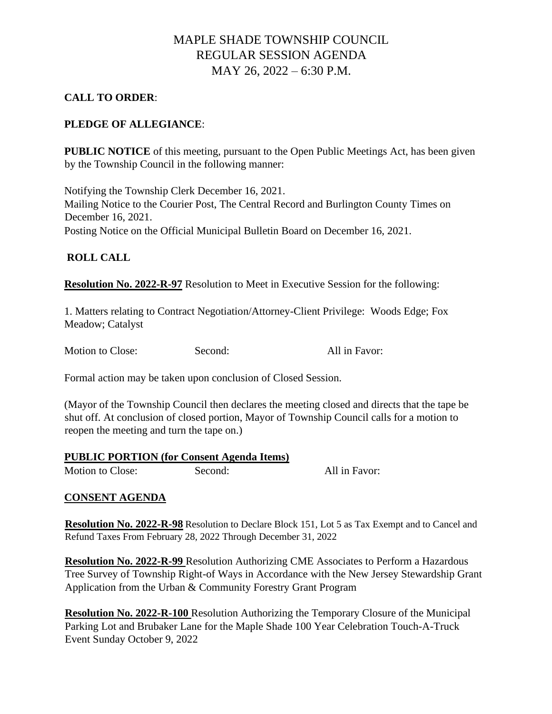## MAPLE SHADE TOWNSHIP COUNCIL REGULAR SESSION AGENDA MAY 26, 2022 – 6:30 P.M.

### **CALL TO ORDER**:

## **PLEDGE OF ALLEGIANCE**:

**PUBLIC NOTICE** of this meeting, pursuant to the Open Public Meetings Act, has been given by the Township Council in the following manner:

Notifying the Township Clerk December 16, 2021. Mailing Notice to the Courier Post, The Central Record and Burlington County Times on December 16, 2021. Posting Notice on the Official Municipal Bulletin Board on December 16, 2021.

### **ROLL CALL**

**Resolution No. 2022-R-97** Resolution to Meet in Executive Session for the following:

1. Matters relating to Contract Negotiation/Attorney-Client Privilege: Woods Edge; Fox Meadow; Catalyst

Motion to Close: Second: All in Favor:

Formal action may be taken upon conclusion of Closed Session.

(Mayor of the Township Council then declares the meeting closed and directs that the tape be shut off. At conclusion of closed portion, Mayor of Township Council calls for a motion to reopen the meeting and turn the tape on.)

#### **PUBLIC PORTION (for Consent Agenda Items)**

Motion to Close: Second: Second: All in Favor:

### **CONSENT AGENDA**

**Resolution No. 2022-R-98** Resolution to Declare Block 151, Lot 5 as Tax Exempt and to Cancel and Refund Taxes From February 28, 2022 Through December 31, 2022

**Resolution No. 2022-R-99** Resolution Authorizing CME Associates to Perform a Hazardous Tree Survey of Township Right-of Ways in Accordance with the New Jersey Stewardship Grant Application from the Urban & Community Forestry Grant Program

**Resolution No. 2022-R-100** Resolution Authorizing the Temporary Closure of the Municipal Parking Lot and Brubaker Lane for the Maple Shade 100 Year Celebration Touch-A-Truck Event Sunday October 9, 2022